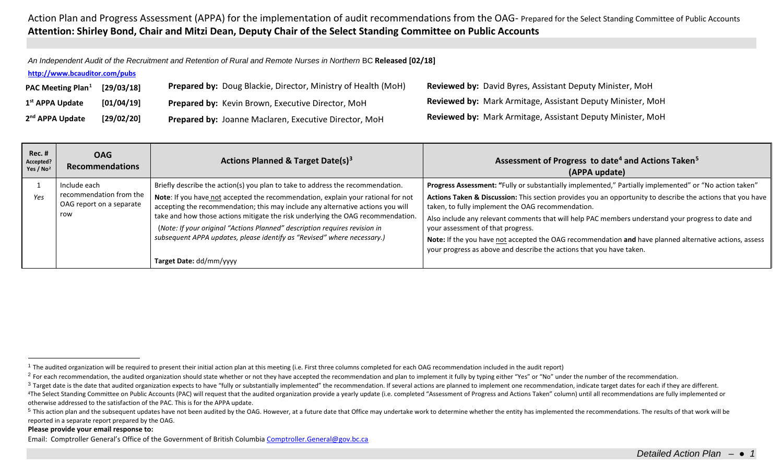<span id="page-0-4"></span><span id="page-0-3"></span><span id="page-0-2"></span><span id="page-0-1"></span><span id="page-0-0"></span>*An Independent Audit of the Recruitment and Retention of Rural and Remote Nurses in Northern* BC **Released [02/18]**

## **<http://www.bcauditor.com/pubs>**

| PAC Meeting Plan <sup>1</sup> | [29/03/18] | <b>Prepared by: Doug Blackie, Director, Ministry of Health (MoH)</b> | <b>Reviewed by: David Byres, Assistant Deputy Minister, MoH</b>   |
|-------------------------------|------------|----------------------------------------------------------------------|-------------------------------------------------------------------|
| 1 <sup>st</sup> APPA Update   | [01/04/19] | Prepared by: Kevin Brown, Executive Director, MoH                    | <b>Reviewed by: Mark Armitage, Assistant Deputy Minister, MoH</b> |
| 2 <sup>nd</sup> APPA Update   | [29/02/20] | Prepared by: Joanne Maclaren, Executive Director, MoH                | <b>Reviewed by: Mark Armitage, Assistant Deputy Minister, MoH</b> |

| $Rec.$ #<br>Accepted?<br>Yes / $No2$ | <b>OAG</b><br><b>Recommendations</b>                       | Actions Planned & Target Date(s) <sup>3</sup>                                                                                                                                                                                                                                                                                                                                                                                              | Assessment of Progress to date <sup>4</sup> and Actions Taken <sup>5</sup><br>(APPA update)                                                                                                                                                                                                                                                                                                                                                                                                  |
|--------------------------------------|------------------------------------------------------------|--------------------------------------------------------------------------------------------------------------------------------------------------------------------------------------------------------------------------------------------------------------------------------------------------------------------------------------------------------------------------------------------------------------------------------------------|----------------------------------------------------------------------------------------------------------------------------------------------------------------------------------------------------------------------------------------------------------------------------------------------------------------------------------------------------------------------------------------------------------------------------------------------------------------------------------------------|
|                                      | Include each                                               | Briefly describe the action(s) you plan to take to address the recommendation.                                                                                                                                                                                                                                                                                                                                                             | Progress Assessment: "Fully or substantially implemented," Partially implemented" or "No action taken"                                                                                                                                                                                                                                                                                                                                                                                       |
| Yes                                  | recommendation from the<br>OAG report on a separate<br>row | Note: If you have not accepted the recommendation, explain your rational for not<br>accepting the recommendation; this may include any alternative actions you will<br>take and how those actions mitigate the risk underlying the OAG recommendation.<br>(Note: If your original "Actions Planned" description requires revision in<br>subsequent APPA updates, please identify as "Revised" where necessary.)<br>Target Date: dd/mm/yyyy | Actions Taken & Discussion: This section provides you an opportunity to describe the actions that you have<br>taken, to fully implement the OAG recommendation.<br>Also include any relevant comments that will help PAC members understand your progress to date and<br>your assessment of that progress.<br>Note: If the you have not accepted the OAG recommendation and have planned alternative actions, assess<br>your progress as above and describe the actions that you have taken. |

<sup>4</sup>The Select Standing Committee on Public Accounts (PAC) will request that the audited organization provide a yearly update (i.e. completed "Assessment of Progress and Actions Taken" column) until all recommendations are otherwise addressed to the satisfaction of the PAC. This is for the APPA update.

## **Please provide your email response to:**

 $1$  The audited organization will be required to present their initial action plan at this meeting (i.e. First three columns completed for each OAG recommendation included in the audit report)

<sup>&</sup>lt;sup>2</sup> For each recommendation, the audited organization should state whether or not they have accepted the recommendation and plan to implement it fully by typing either "Yes" or "No" under the number of the recommendation.

<sup>&</sup>lt;sup>3</sup> Target date is the date that audited organization expects to have "fully or substantially implemented" the recommendation. If several actions are planned to implement one recommendation, indicate target dates for each

<sup>&</sup>lt;sup>5</sup> This action plan and the subsequent updates have not been audited by the OAG. However, at a future date that Office may undertake work to determine whether the entity has implemented the recommendations. The results of reported in a separate report prepared by the OAG.

Email: Comptroller General's Office of the Government of British Columbi[a Comptroller.General@gov.bc.ca](mailto:Comptroller.General@gov.bc.ca)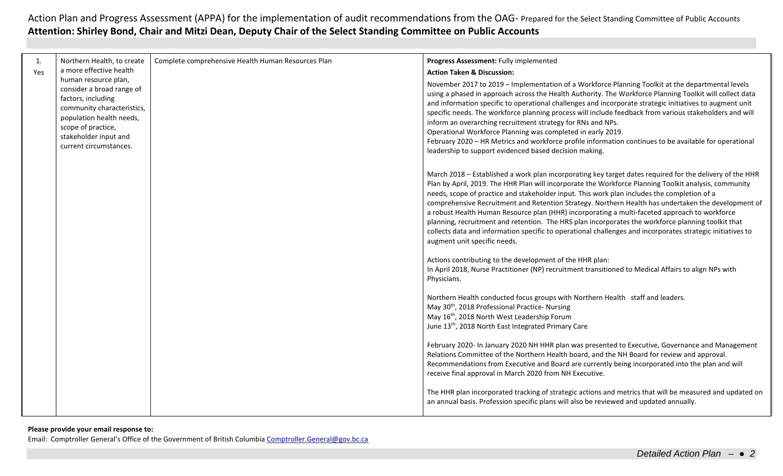| 1.  | Northern Health, to create                                                                                                                                                                                 | Complete comprehensive Health Human Resources Plan | Progress Assessment: Fully implemented                                                                                                                                                                                                                                                                                                                                                                                                                                                                                                                                                                                                                                                                                                                                       |
|-----|------------------------------------------------------------------------------------------------------------------------------------------------------------------------------------------------------------|----------------------------------------------------|------------------------------------------------------------------------------------------------------------------------------------------------------------------------------------------------------------------------------------------------------------------------------------------------------------------------------------------------------------------------------------------------------------------------------------------------------------------------------------------------------------------------------------------------------------------------------------------------------------------------------------------------------------------------------------------------------------------------------------------------------------------------------|
| Yes | a more effective health                                                                                                                                                                                    |                                                    | <b>Action Taken &amp; Discussion:</b>                                                                                                                                                                                                                                                                                                                                                                                                                                                                                                                                                                                                                                                                                                                                        |
|     | human resource plan,<br>consider a broad range of<br>factors, including<br>community characteristics,<br>population health needs,<br>scope of practice,<br>stakeholder input and<br>current circumstances. |                                                    | November 2017 to 2019 - Implementation of a Workforce Planning Toolkit at the departmental levels<br>using a phased in approach across the Health Authority. The Workforce Planning Toolkit will collect data<br>and information specific to operational challenges and incorporate strategic initiatives to augment unit<br>specific needs. The workforce planning process will include feedback from various stakeholders and will<br>inform an overarching recruitment strategy for RNs and NPs.<br>Operational Workforce Planning was completed in early 2019.<br>February 2020 - HR Metrics and workforce profile information continues to be available for operational<br>leadership to support evidenced based decision making.                                       |
|     |                                                                                                                                                                                                            |                                                    | March 2018 - Established a work plan incorporating key target dates required for the delivery of the HHR<br>Plan by April, 2019. The HHR Plan will incorporate the Workforce Planning Toolkit analysis, community<br>needs, scope of practice and stakeholder input. This work plan includes the completion of a<br>comprehensive Recruitment and Retention Strategy. Northern Health has undertaken the development of<br>a robust Health Human Resource plan (HHR) incorporating a multi-faceted approach to workforce<br>planning, recruitment and retention. The HRS plan incorporates the workforce planning toolkit that<br>collects data and information specific to operational challenges and incorporates strategic initiatives to<br>augment unit specific needs. |
|     |                                                                                                                                                                                                            |                                                    | Actions contributing to the development of the HHR plan:<br>In April 2018, Nurse Practitioner (NP) recruitment transitioned to Medical Affairs to align NPs with<br>Physicians.                                                                                                                                                                                                                                                                                                                                                                                                                                                                                                                                                                                              |
|     |                                                                                                                                                                                                            |                                                    | Northern Health conducted focus groups with Northern Health staff and leaders.<br>May 30 <sup>th</sup> , 2018 Professional Practice- Nursing<br>May 16 <sup>th</sup> , 2018 North West Leadership Forum<br>June 13 <sup>th</sup> , 2018 North East Integrated Primary Care                                                                                                                                                                                                                                                                                                                                                                                                                                                                                                   |
|     |                                                                                                                                                                                                            |                                                    | February 2020- In January 2020 NH HHR plan was presented to Executive, Governance and Management<br>Relations Committee of the Northern Health board, and the NH Board for review and approval.<br>Recommendations from Executive and Board are currently being incorporated into the plan and will<br>receive final approval in March 2020 from NH Executive.                                                                                                                                                                                                                                                                                                                                                                                                               |
|     |                                                                                                                                                                                                            |                                                    | The HHR plan incorporated tracking of strategic actions and metrics that will be measured and updated on<br>an annual basis. Profession specific plans will also be reviewed and updated annually.                                                                                                                                                                                                                                                                                                                                                                                                                                                                                                                                                                           |
|     |                                                                                                                                                                                                            |                                                    |                                                                                                                                                                                                                                                                                                                                                                                                                                                                                                                                                                                                                                                                                                                                                                              |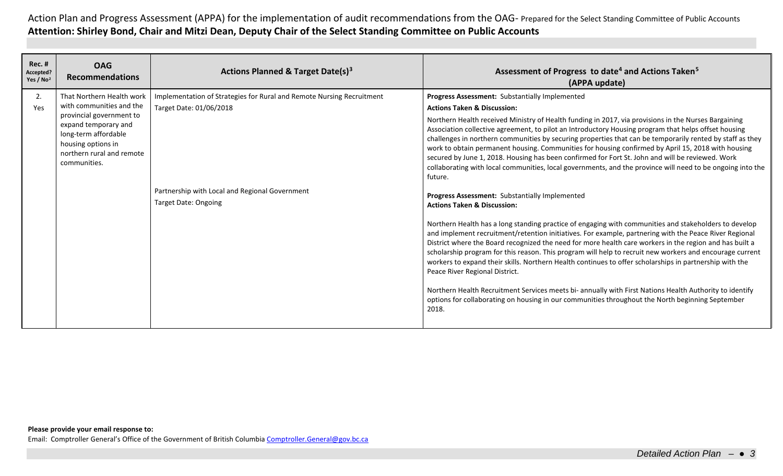| <b>Rec. #</b><br>Accepted?<br>Yes / No <sup>2</sup> | <b>OAG</b><br><b>Recommendations</b>                                                                                                                                                                 | Actions Planned & Target Date(s) <sup>3</sup>                                                                                                                                     | Assessment of Progress to date <sup>4</sup> and Actions Taken <sup>5</sup><br>(APPA update)                                                                                                                                                                                                                                                                                                                                                                                                                                                                                                                                                                                                                                                                                                                                                          |
|-----------------------------------------------------|------------------------------------------------------------------------------------------------------------------------------------------------------------------------------------------------------|-----------------------------------------------------------------------------------------------------------------------------------------------------------------------------------|------------------------------------------------------------------------------------------------------------------------------------------------------------------------------------------------------------------------------------------------------------------------------------------------------------------------------------------------------------------------------------------------------------------------------------------------------------------------------------------------------------------------------------------------------------------------------------------------------------------------------------------------------------------------------------------------------------------------------------------------------------------------------------------------------------------------------------------------------|
| 2.<br>Yes                                           | That Northern Health work<br>with communities and the<br>provincial government to<br>expand temporary and<br>long-term affordable<br>housing options in<br>northern rural and remote<br>communities. | Implementation of Strategies for Rural and Remote Nursing Recruitment<br>Target Date: 01/06/2018<br>Partnership with Local and Regional Government<br><b>Target Date: Ongoing</b> | Progress Assessment: Substantially Implemented<br><b>Actions Taken &amp; Discussion:</b><br>Northern Health received Ministry of Health funding in 2017, via provisions in the Nurses Bargaining<br>Association collective agreement, to pilot an Introductory Housing program that helps offset housing<br>challenges in northern communities by securing properties that can be temporarily rented by staff as they<br>work to obtain permanent housing. Communities for housing confirmed by April 15, 2018 with housing<br>secured by June 1, 2018. Housing has been confirmed for Fort St. John and will be reviewed. Work<br>collaborating with local communities, local governments, and the province will need to be ongoing into the<br>future.<br>Progress Assessment: Substantially Implemented<br><b>Actions Taken &amp; Discussion:</b> |
|                                                     |                                                                                                                                                                                                      |                                                                                                                                                                                   | Northern Health has a long standing practice of engaging with communities and stakeholders to develop<br>and implement recruitment/retention initiatives. For example, partnering with the Peace River Regional<br>District where the Board recognized the need for more health care workers in the region and has built a<br>scholarship program for this reason. This program will help to recruit new workers and encourage current<br>workers to expand their skills. Northern Health continues to offer scholarships in partnership with the<br>Peace River Regional District.<br>Northern Health Recruitment Services meets bi- annually with First Nations Health Authority to identify<br>options for collaborating on housing in our communities throughout the North beginning September<br>2018.                                          |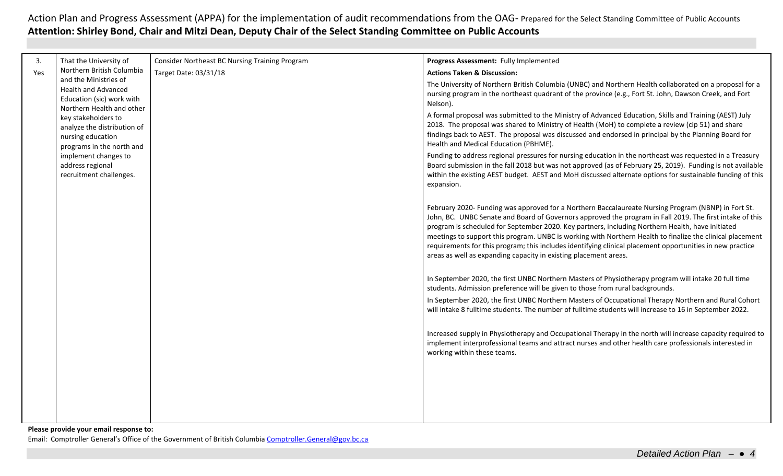| 3.  | That the University of                                                                                        | Consider Northeast BC Nursing Training Program | Progress Assessment: Fully Implemented                                                                                                                                                                                                                                                                                                                                                                                                                                                                                                                                                                            |
|-----|---------------------------------------------------------------------------------------------------------------|------------------------------------------------|-------------------------------------------------------------------------------------------------------------------------------------------------------------------------------------------------------------------------------------------------------------------------------------------------------------------------------------------------------------------------------------------------------------------------------------------------------------------------------------------------------------------------------------------------------------------------------------------------------------------|
| Yes | Northern British Columbia                                                                                     | Target Date: 03/31/18                          | <b>Actions Taken &amp; Discussion:</b>                                                                                                                                                                                                                                                                                                                                                                                                                                                                                                                                                                            |
|     | and the Ministries of<br><b>Health and Advanced</b><br>Education (sic) work with<br>Northern Health and other |                                                | The University of Northern British Columbia (UNBC) and Northern Health collaborated on a proposal for a<br>nursing program in the northeast quadrant of the province (e.g., Fort St. John, Dawson Creek, and Fort<br>Nelson).                                                                                                                                                                                                                                                                                                                                                                                     |
|     | key stakeholders to<br>analyze the distribution of<br>nursing education<br>programs in the north and          |                                                | A formal proposal was submitted to the Ministry of Advanced Education, Skills and Training (AEST) July<br>2018. The proposal was shared to Ministry of Health (MoH) to complete a review (cip 51) and share<br>findings back to AEST. The proposal was discussed and endorsed in principal by the Planning Board for<br>Health and Medical Education (PBHME).                                                                                                                                                                                                                                                     |
|     | implement changes to<br>address regional<br>recruitment challenges.                                           |                                                | Funding to address regional pressures for nursing education in the northeast was requested in a Treasury<br>Board submission in the fall 2018 but was not approved (as of February 25, 2019). Funding is not available<br>within the existing AEST budget. AEST and MoH discussed alternate options for sustainable funding of this<br>expansion.                                                                                                                                                                                                                                                                 |
|     |                                                                                                               |                                                | February 2020- Funding was approved for a Northern Baccalaureate Nursing Program (NBNP) in Fort St.<br>John, BC. UNBC Senate and Board of Governors approved the program in Fall 2019. The first intake of this<br>program is scheduled for September 2020. Key partners, including Northern Health, have initiated<br>meetings to support this program. UNBC is working with Northern Health to finalize the clinical placement<br>requirements for this program; this includes identifying clinical placement opportunities in new practice<br>areas as well as expanding capacity in existing placement areas. |
|     |                                                                                                               |                                                | In September 2020, the first UNBC Northern Masters of Physiotherapy program will intake 20 full time<br>students. Admission preference will be given to those from rural backgrounds.                                                                                                                                                                                                                                                                                                                                                                                                                             |
|     |                                                                                                               |                                                | In September 2020, the first UNBC Northern Masters of Occupational Therapy Northern and Rural Cohort<br>will intake 8 fulltime students. The number of fulltime students will increase to 16 in September 2022.                                                                                                                                                                                                                                                                                                                                                                                                   |
|     |                                                                                                               |                                                | Increased supply in Physiotherapy and Occupational Therapy in the north will increase capacity required to<br>implement interprofessional teams and attract nurses and other health care professionals interested in<br>working within these teams.                                                                                                                                                                                                                                                                                                                                                               |
|     |                                                                                                               |                                                |                                                                                                                                                                                                                                                                                                                                                                                                                                                                                                                                                                                                                   |
|     |                                                                                                               |                                                |                                                                                                                                                                                                                                                                                                                                                                                                                                                                                                                                                                                                                   |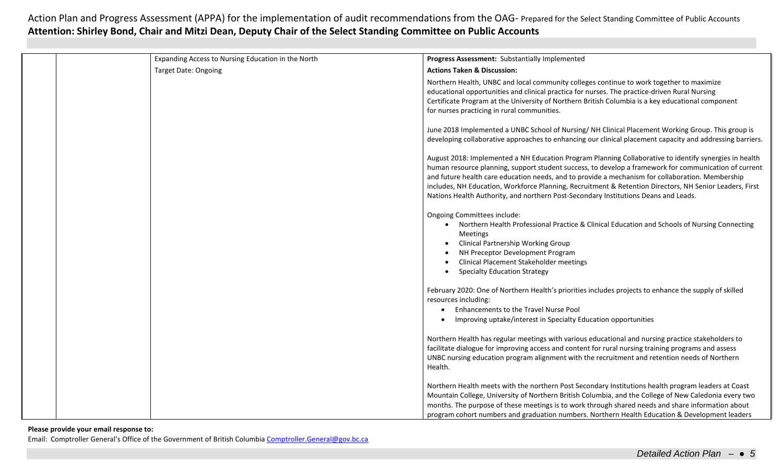|  | Expanding Access to Nursing Education in the North | Progress Assessment: Substantially Implemented                                                                                                                                                                                                                                                                                                                                                                                                                                                                        |
|--|----------------------------------------------------|-----------------------------------------------------------------------------------------------------------------------------------------------------------------------------------------------------------------------------------------------------------------------------------------------------------------------------------------------------------------------------------------------------------------------------------------------------------------------------------------------------------------------|
|  | <b>Target Date: Ongoing</b>                        | <b>Actions Taken &amp; Discussion:</b>                                                                                                                                                                                                                                                                                                                                                                                                                                                                                |
|  |                                                    | Northern Health, UNBC and local community colleges continue to work together to maximize<br>educational opportunities and clinical practica for nurses. The practice-driven Rural Nursing<br>Certificate Program at the University of Northern British Columbia is a key educational component<br>for nurses practicing in rural communities.                                                                                                                                                                         |
|  |                                                    | June 2018 Implemented a UNBC School of Nursing/ NH Clinical Placement Working Group. This group is<br>developing collaborative approaches to enhancing our clinical placement capacity and addressing barriers.                                                                                                                                                                                                                                                                                                       |
|  |                                                    | August 2018: Implemented a NH Education Program Planning Collaborative to identify synergies in health<br>human resource planning, support student success, to develop a framework for communication of current<br>and future health care education needs, and to provide a mechanism for collaboration. Membership<br>includes, NH Education, Workforce Planning, Recruitment & Retention Directors, NH Senior Leaders, First<br>Nations Health Authority, and northern Post-Secondary Institutions Deans and Leads. |
|  |                                                    | Ongoing Committees include:<br>Northern Health Professional Practice & Clinical Education and Schools of Nursing Connecting<br><b>Meetings</b><br><b>Clinical Partnership Working Group</b><br>$\bullet$<br>NH Preceptor Development Program<br>Clinical Placement Stakeholder meetings<br><b>Specialty Education Strategy</b>                                                                                                                                                                                        |
|  |                                                    | February 2020: One of Northern Health's priorities includes projects to enhance the supply of skilled<br>resources including:<br>Enhancements to the Travel Nurse Pool<br>Improving uptake/interest in Specialty Education opportunities                                                                                                                                                                                                                                                                              |
|  |                                                    | Northern Health has regular meetings with various educational and nursing practice stakeholders to<br>facilitate dialogue for improving access and content for rural nursing training programs and assess<br>UNBC nursing education program alignment with the recruitment and retention needs of Northern<br>Health.                                                                                                                                                                                                 |
|  |                                                    | Northern Health meets with the northern Post Secondary Institutions health program leaders at Coast<br>Mountain College, University of Northern British Columbia, and the College of New Caledonia every two<br>months. The purpose of these meetings is to work through shared needs and share information about<br>program cohort numbers and graduation numbers. Northern Health Education & Development leaders                                                                                                   |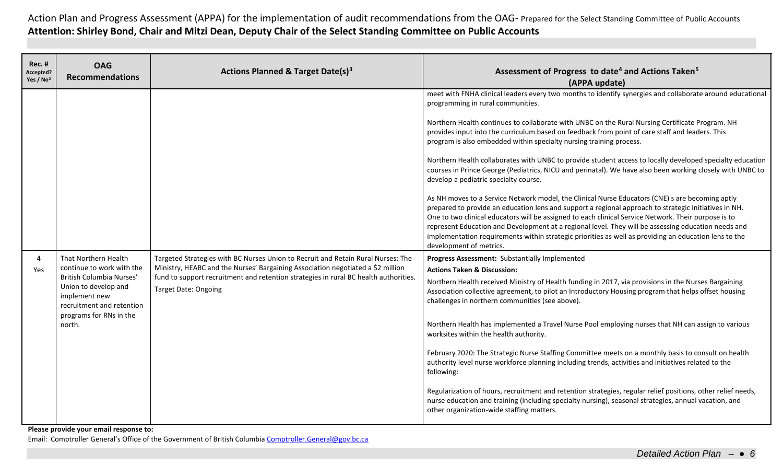| <b>Rec. #</b><br>Accepted?<br>Yes / No <sup>2</sup> | <b>OAG</b><br><b>Recommendations</b>                                                                    | <b>Actions Planned &amp; Target Date(s)3</b>                                                                                                                                                                                                                | Assessment of Progress to date <sup>4</sup> and Actions Taken <sup>5</sup><br>(APPA update)                                                                                                                                                                                                                                                                                                                                                                                                                                                                                                                                                                                                                                                                                                                                                                                                                                                                                                                                                                                                                                                                                                                                                                                                                                                                                                                                                                       |
|-----------------------------------------------------|---------------------------------------------------------------------------------------------------------|-------------------------------------------------------------------------------------------------------------------------------------------------------------------------------------------------------------------------------------------------------------|-------------------------------------------------------------------------------------------------------------------------------------------------------------------------------------------------------------------------------------------------------------------------------------------------------------------------------------------------------------------------------------------------------------------------------------------------------------------------------------------------------------------------------------------------------------------------------------------------------------------------------------------------------------------------------------------------------------------------------------------------------------------------------------------------------------------------------------------------------------------------------------------------------------------------------------------------------------------------------------------------------------------------------------------------------------------------------------------------------------------------------------------------------------------------------------------------------------------------------------------------------------------------------------------------------------------------------------------------------------------------------------------------------------------------------------------------------------------|
| 4<br>Yes                                            | That Northern Health<br>continue to work with the<br>British Columbia Nurses'                           | Targeted Strategies with BC Nurses Union to Recruit and Retain Rural Nurses: The<br>Ministry, HEABC and the Nurses' Bargaining Association negotiated a \$2 million<br>fund to support recruitment and retention strategies in rural BC health authorities. | meet with FNHA clinical leaders every two months to identify synergies and collaborate around educational<br>programming in rural communities.<br>Northern Health continues to collaborate with UNBC on the Rural Nursing Certificate Program. NH<br>provides input into the curriculum based on feedback from point of care staff and leaders. This<br>program is also embedded within specialty nursing training process.<br>Northern Health collaborates with UNBC to provide student access to locally developed specialty education<br>courses in Prince George (Pediatrics, NICU and perinatal). We have also been working closely with UNBC to<br>develop a pediatric specialty course.<br>As NH moves to a Service Network model, the Clinical Nurse Educators (CNE) s are becoming aptly<br>prepared to provide an education lens and support a regional approach to strategic initiatives in NH.<br>One to two clinical educators will be assigned to each clinical Service Network. Their purpose is to<br>represent Education and Development at a regional level. They will be assessing education needs and<br>implementation requirements within strategic priorities as well as providing an education lens to the<br>development of metrics.<br>Progress Assessment: Substantially Implemented<br><b>Actions Taken &amp; Discussion:</b><br>Northern Health received Ministry of Health funding in 2017, via provisions in the Nurses Bargaining |
|                                                     | Union to develop and<br>implement new<br>recruitment and retention<br>programs for RNs in the<br>north. | <b>Target Date: Ongoing</b>                                                                                                                                                                                                                                 | Association collective agreement, to pilot an Introductory Housing program that helps offset housing<br>challenges in northern communities (see above).<br>Northern Health has implemented a Travel Nurse Pool employing nurses that NH can assign to various<br>worksites within the health authority.<br>February 2020: The Strategic Nurse Staffing Committee meets on a monthly basis to consult on health<br>authority level nurse workforce planning including trends, activities and initiatives related to the<br>following:<br>Regularization of hours, recruitment and retention strategies, regular relief positions, other relief needs,<br>nurse education and training (including specialty nursing), seasonal strategies, annual vacation, and<br>other organization-wide staffing matters.                                                                                                                                                                                                                                                                                                                                                                                                                                                                                                                                                                                                                                                        |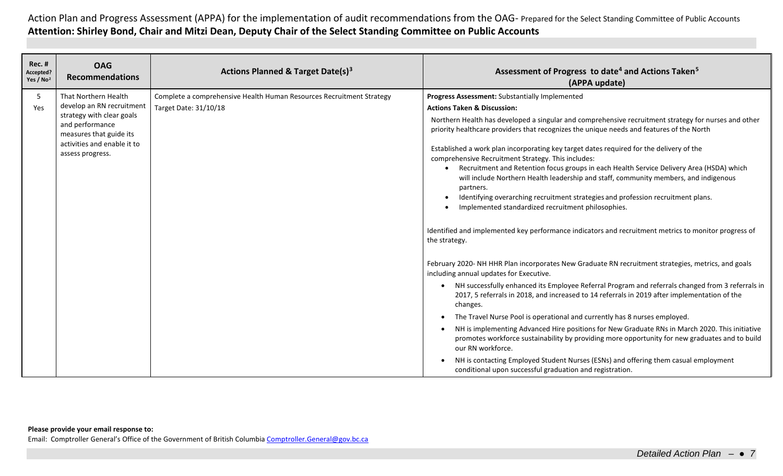| <b>Rec. #</b><br>Accepted?<br>Yes / No <sup>2</sup> | <b>OAG</b><br><b>Recommendations</b>                                    | Actions Planned & Target Date(s) <sup>3</sup>                        | Assessment of Progress to date <sup>4</sup> and Actions Taken <sup>5</sup><br>(APPA update)                                                                                                                               |
|-----------------------------------------------------|-------------------------------------------------------------------------|----------------------------------------------------------------------|---------------------------------------------------------------------------------------------------------------------------------------------------------------------------------------------------------------------------|
| 5                                                   | That Northern Health                                                    | Complete a comprehensive Health Human Resources Recruitment Strategy | Progress Assessment: Substantially Implemented                                                                                                                                                                            |
| Yes                                                 | develop an RN recruitment                                               | Target Date: 31/10/18                                                | <b>Actions Taken &amp; Discussion:</b>                                                                                                                                                                                    |
|                                                     | strategy with clear goals<br>and performance<br>measures that guide its |                                                                      | Northern Health has developed a singular and comprehensive recruitment strategy for nurses and other<br>priority healthcare providers that recognizes the unique needs and features of the North                          |
|                                                     | activities and enable it to<br>assess progress.                         |                                                                      | Established a work plan incorporating key target dates required for the delivery of the<br>comprehensive Recruitment Strategy. This includes:                                                                             |
|                                                     |                                                                         |                                                                      | Recruitment and Retention focus groups in each Health Service Delivery Area (HSDA) which<br>will include Northern Health leadership and staff, community members, and indigenous<br>partners.                             |
|                                                     |                                                                         |                                                                      | Identifying overarching recruitment strategies and profession recruitment plans.<br>$\bullet$                                                                                                                             |
|                                                     |                                                                         |                                                                      | Implemented standardized recruitment philosophies.                                                                                                                                                                        |
|                                                     |                                                                         |                                                                      | Identified and implemented key performance indicators and recruitment metrics to monitor progress of<br>the strategy.                                                                                                     |
|                                                     |                                                                         |                                                                      | February 2020- NH HHR Plan incorporates New Graduate RN recruitment strategies, metrics, and goals<br>including annual updates for Executive.                                                                             |
|                                                     |                                                                         |                                                                      | NH successfully enhanced its Employee Referral Program and referrals changed from 3 referrals in<br>$\bullet$<br>2017, 5 referrals in 2018, and increased to 14 referrals in 2019 after implementation of the<br>changes. |
|                                                     |                                                                         |                                                                      | The Travel Nurse Pool is operational and currently has 8 nurses employed.                                                                                                                                                 |
|                                                     |                                                                         |                                                                      | NH is implementing Advanced Hire positions for New Graduate RNs in March 2020. This initiative<br>promotes workforce sustainability by providing more opportunity for new graduates and to build<br>our RN workforce.     |
|                                                     |                                                                         |                                                                      | NH is contacting Employed Student Nurses (ESNs) and offering them casual employment<br>conditional upon successful graduation and registration.                                                                           |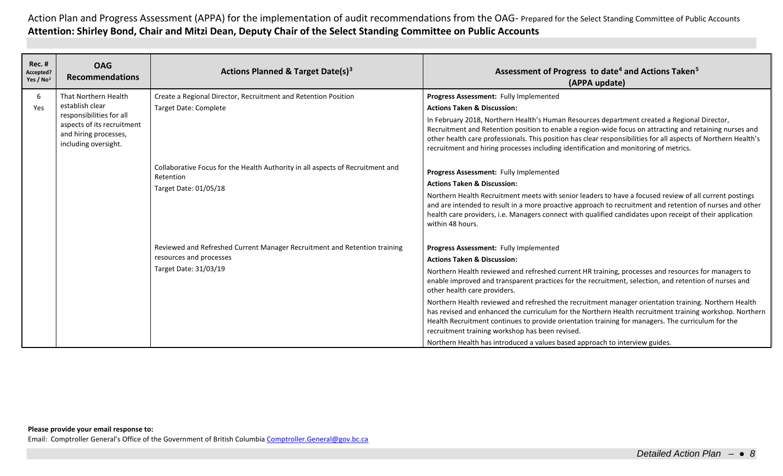| <b>Rec. #</b><br>Accepted?<br>Yes / No <sup>2</sup> | <b>OAG</b><br><b>Recommendations</b>                                                                                                               | Actions Planned & Target Date(s) <sup>3</sup>                                                                                                                                                                          | Assessment of Progress to date <sup>4</sup> and Actions Taken <sup>5</sup><br>(APPA update)                                                                                                                                                                                                                                                                                                                                                                                                                                                                                                                                                                                                                                                                                                                                                                                                                                                    |
|-----------------------------------------------------|----------------------------------------------------------------------------------------------------------------------------------------------------|------------------------------------------------------------------------------------------------------------------------------------------------------------------------------------------------------------------------|------------------------------------------------------------------------------------------------------------------------------------------------------------------------------------------------------------------------------------------------------------------------------------------------------------------------------------------------------------------------------------------------------------------------------------------------------------------------------------------------------------------------------------------------------------------------------------------------------------------------------------------------------------------------------------------------------------------------------------------------------------------------------------------------------------------------------------------------------------------------------------------------------------------------------------------------|
| 6<br>Yes                                            | That Northern Health<br>establish clear<br>responsibilities for all<br>aspects of its recruitment<br>and hiring processes,<br>including oversight. | Create a Regional Director, Recruitment and Retention Position<br><b>Target Date: Complete</b><br>Collaborative Focus for the Health Authority in all aspects of Recruitment and<br>Retention<br>Target Date: 01/05/18 | Progress Assessment: Fully Implemented<br><b>Actions Taken &amp; Discussion:</b><br>In February 2018, Northern Health's Human Resources department created a Regional Director,<br>Recruitment and Retention position to enable a region-wide focus on attracting and retaining nurses and<br>other health care professionals. This position has clear responsibilities for all aspects of Northern Health's<br>recruitment and hiring processes including identification and monitoring of metrics.<br>Progress Assessment: Fully Implemented<br><b>Actions Taken &amp; Discussion:</b><br>Northern Health Recruitment meets with senior leaders to have a focused review of all current postings<br>and are intended to result in a more proactive approach to recruitment and retention of nurses and other<br>health care providers, i.e. Managers connect with qualified candidates upon receipt of their application<br>within 48 hours. |
|                                                     |                                                                                                                                                    | Reviewed and Refreshed Current Manager Recruitment and Retention training<br>resources and processes<br>Target Date: 31/03/19                                                                                          | Progress Assessment: Fully Implemented<br><b>Actions Taken &amp; Discussion:</b><br>Northern Health reviewed and refreshed current HR training, processes and resources for managers to<br>enable improved and transparent practices for the recruitment, selection, and retention of nurses and<br>other health care providers.<br>Northern Health reviewed and refreshed the recruitment manager orientation training. Northern Health<br>has revised and enhanced the curriculum for the Northern Health recruitment training workshop. Northern<br>Health Recruitment continues to provide orientation training for managers. The curriculum for the<br>recruitment training workshop has been revised.<br>Northern Health has introduced a values based approach to interview guides.                                                                                                                                                     |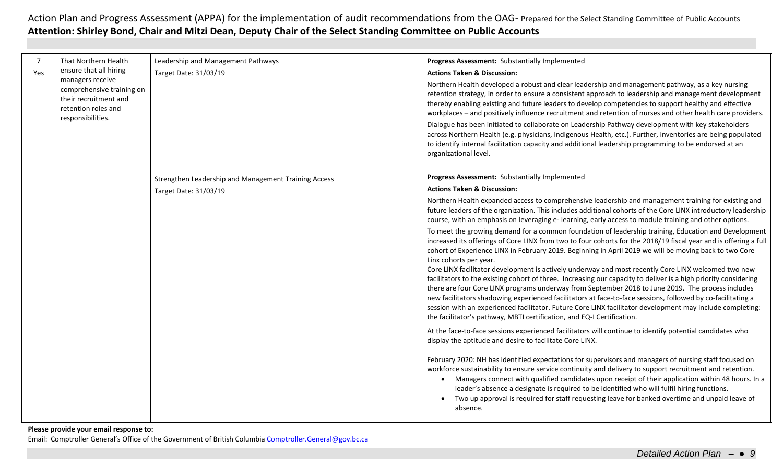| 7   | That Northern Health                                                                                               | Leadership and Management Pathways                   | Progress Assessment: Substantially Implemented                                                                                                                                                                                                                                                                                                                                                                                                                                                                                                                                                                                                                                                                                                                                                                                                                                                                                                                                                    |
|-----|--------------------------------------------------------------------------------------------------------------------|------------------------------------------------------|---------------------------------------------------------------------------------------------------------------------------------------------------------------------------------------------------------------------------------------------------------------------------------------------------------------------------------------------------------------------------------------------------------------------------------------------------------------------------------------------------------------------------------------------------------------------------------------------------------------------------------------------------------------------------------------------------------------------------------------------------------------------------------------------------------------------------------------------------------------------------------------------------------------------------------------------------------------------------------------------------|
| Yes | ensure that all hiring                                                                                             | Target Date: 31/03/19                                | <b>Actions Taken &amp; Discussion:</b>                                                                                                                                                                                                                                                                                                                                                                                                                                                                                                                                                                                                                                                                                                                                                                                                                                                                                                                                                            |
|     | managers receive<br>comprehensive training on<br>their recruitment and<br>retention roles and<br>responsibilities. |                                                      | Northern Health developed a robust and clear leadership and management pathway, as a key nursing<br>retention strategy, in order to ensure a consistent approach to leadership and management development<br>thereby enabling existing and future leaders to develop competencies to support healthy and effective<br>workplaces - and positively influence recruitment and retention of nurses and other health care providers.                                                                                                                                                                                                                                                                                                                                                                                                                                                                                                                                                                  |
|     |                                                                                                                    |                                                      | Dialogue has been initiated to collaborate on Leadership Pathway development with key stakeholders<br>across Northern Health (e.g. physicians, Indigenous Health, etc.). Further, inventories are being populated<br>to identify internal facilitation capacity and additional leadership programming to be endorsed at an<br>organizational level.                                                                                                                                                                                                                                                                                                                                                                                                                                                                                                                                                                                                                                               |
|     |                                                                                                                    | Strengthen Leadership and Management Training Access | Progress Assessment: Substantially Implemented                                                                                                                                                                                                                                                                                                                                                                                                                                                                                                                                                                                                                                                                                                                                                                                                                                                                                                                                                    |
|     |                                                                                                                    | Target Date: 31/03/19                                | <b>Actions Taken &amp; Discussion:</b>                                                                                                                                                                                                                                                                                                                                                                                                                                                                                                                                                                                                                                                                                                                                                                                                                                                                                                                                                            |
|     |                                                                                                                    |                                                      | Northern Health expanded access to comprehensive leadership and management training for existing and<br>future leaders of the organization. This includes additional cohorts of the Core LINX introductory leadership<br>course, with an emphasis on leveraging e-learning, early access to module training and other options.                                                                                                                                                                                                                                                                                                                                                                                                                                                                                                                                                                                                                                                                    |
|     |                                                                                                                    |                                                      | To meet the growing demand for a common foundation of leadership training, Education and Development<br>increased its offerings of Core LINX from two to four cohorts for the 2018/19 fiscal year and is offering a full<br>cohort of Experience LINX in February 2019. Beginning in April 2019 we will be moving back to two Core<br>Linx cohorts per year.<br>Core LINX facilitator development is actively underway and most recently Core LINX welcomed two new<br>facilitators to the existing cohort of three. Increasing our capacity to deliver is a high priority considering<br>there are four Core LINX programs underway from September 2018 to June 2019. The process includes<br>new facilitators shadowing experienced facilitators at face-to-face sessions, followed by co-facilitating a<br>session with an experienced facilitator. Future Core LINX facilitator development may include completing:<br>the facilitator's pathway, MBTI certification, and EQ-I Certification. |
|     |                                                                                                                    |                                                      | At the face-to-face sessions experienced facilitators will continue to identify potential candidates who<br>display the aptitude and desire to facilitate Core LINX.                                                                                                                                                                                                                                                                                                                                                                                                                                                                                                                                                                                                                                                                                                                                                                                                                              |
|     |                                                                                                                    |                                                      | February 2020: NH has identified expectations for supervisors and managers of nursing staff focused on<br>workforce sustainability to ensure service continuity and delivery to support recruitment and retention.<br>• Managers connect with qualified candidates upon receipt of their application within 48 hours. In a<br>leader's absence a designate is required to be identified who will fulfil hiring functions.<br>Two up approval is required for staff requesting leave for banked overtime and unpaid leave of<br>absence.                                                                                                                                                                                                                                                                                                                                                                                                                                                           |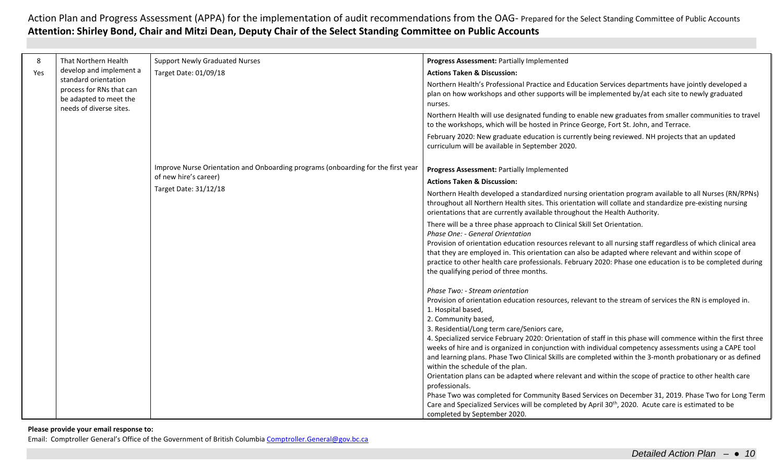| 8   | That Northern Health                                                       | <b>Support Newly Graduated Nurses</b>                                                                     | Progress Assessment: Partially Implemented                                                                                                                                                                                                                                                                                                                                |
|-----|----------------------------------------------------------------------------|-----------------------------------------------------------------------------------------------------------|---------------------------------------------------------------------------------------------------------------------------------------------------------------------------------------------------------------------------------------------------------------------------------------------------------------------------------------------------------------------------|
| Yes | develop and implement a                                                    | Target Date: 01/09/18                                                                                     | <b>Actions Taken &amp; Discussion:</b>                                                                                                                                                                                                                                                                                                                                    |
|     | standard orientation<br>process for RNs that can<br>be adapted to meet the |                                                                                                           | Northern Health's Professional Practice and Education Services departments have jointly developed a<br>plan on how workshops and other supports will be implemented by/at each site to newly graduated<br>nurses.                                                                                                                                                         |
|     | needs of diverse sites.                                                    |                                                                                                           | Northern Health will use designated funding to enable new graduates from smaller communities to travel<br>to the workshops, which will be hosted in Prince George, Fort St. John, and Terrace.                                                                                                                                                                            |
|     |                                                                            |                                                                                                           | February 2020: New graduate education is currently being reviewed. NH projects that an updated<br>curriculum will be available in September 2020.                                                                                                                                                                                                                         |
|     |                                                                            | Improve Nurse Orientation and Onboarding programs (onboarding for the first year<br>of new hire's career) | Progress Assessment: Partially Implemented                                                                                                                                                                                                                                                                                                                                |
|     |                                                                            | Target Date: 31/12/18                                                                                     | <b>Actions Taken &amp; Discussion:</b>                                                                                                                                                                                                                                                                                                                                    |
|     |                                                                            |                                                                                                           | Northern Health developed a standardized nursing orientation program available to all Nurses (RN/RPNs)<br>throughout all Northern Health sites. This orientation will collate and standardize pre-existing nursing<br>orientations that are currently available throughout the Health Authority.                                                                          |
|     |                                                                            |                                                                                                           | There will be a three phase approach to Clinical Skill Set Orientation.<br>Phase One: - General Orientation                                                                                                                                                                                                                                                               |
|     |                                                                            |                                                                                                           | Provision of orientation education resources relevant to all nursing staff regardless of which clinical area<br>that they are employed in. This orientation can also be adapted where relevant and within scope of<br>practice to other health care professionals. February 2020: Phase one education is to be completed during<br>the qualifying period of three months. |
|     |                                                                            |                                                                                                           | Phase Two: - Stream orientation                                                                                                                                                                                                                                                                                                                                           |
|     |                                                                            |                                                                                                           | Provision of orientation education resources, relevant to the stream of services the RN is employed in.                                                                                                                                                                                                                                                                   |
|     |                                                                            |                                                                                                           | 1. Hospital based,                                                                                                                                                                                                                                                                                                                                                        |
|     |                                                                            |                                                                                                           | 2. Community based,                                                                                                                                                                                                                                                                                                                                                       |
|     |                                                                            |                                                                                                           | 3. Residential/Long term care/Seniors care,                                                                                                                                                                                                                                                                                                                               |
|     |                                                                            |                                                                                                           | 4. Specialized service February 2020: Orientation of staff in this phase will commence within the first three                                                                                                                                                                                                                                                             |
|     |                                                                            |                                                                                                           | weeks of hire and is organized in conjunction with individual competency assessments using a CAPE tool<br>and learning plans. Phase Two Clinical Skills are completed within the 3-month probationary or as defined                                                                                                                                                       |
|     |                                                                            |                                                                                                           | within the schedule of the plan.                                                                                                                                                                                                                                                                                                                                          |
|     |                                                                            |                                                                                                           | Orientation plans can be adapted where relevant and within the scope of practice to other health care                                                                                                                                                                                                                                                                     |
|     |                                                                            |                                                                                                           | professionals.                                                                                                                                                                                                                                                                                                                                                            |
|     |                                                                            |                                                                                                           | Phase Two was completed for Community Based Services on December 31, 2019. Phase Two for Long Term                                                                                                                                                                                                                                                                        |
|     |                                                                            |                                                                                                           | Care and Specialized Services will be completed by April 30 <sup>th</sup> , 2020. Acute care is estimated to be                                                                                                                                                                                                                                                           |
|     |                                                                            |                                                                                                           | completed by September 2020.                                                                                                                                                                                                                                                                                                                                              |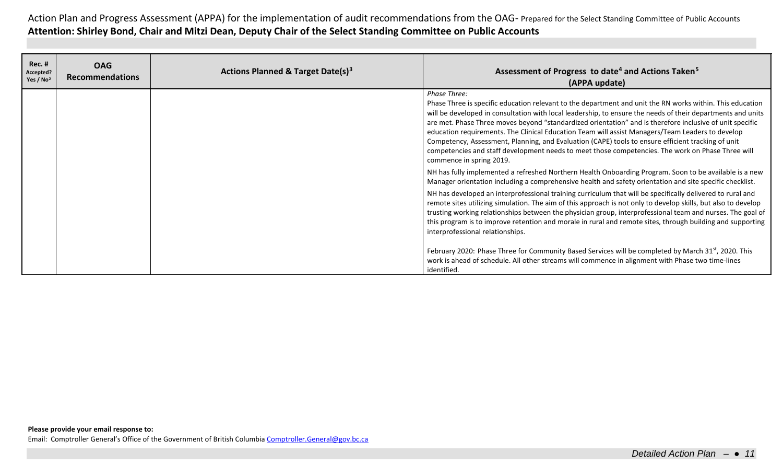| <b>Rec. #</b><br>Accepted?<br>Yes / $No2$ | <b>OAG</b><br><b>Recommendations</b> | Actions Planned & Target Date(s) <sup>3</sup> | Assessment of Progress to date <sup>4</sup> and Actions Taken <sup>5</sup><br>(APPA update)                                                                                                                                                                                                                                                                                                                                                                                                                                                                                                                                                                                                     |
|-------------------------------------------|--------------------------------------|-----------------------------------------------|-------------------------------------------------------------------------------------------------------------------------------------------------------------------------------------------------------------------------------------------------------------------------------------------------------------------------------------------------------------------------------------------------------------------------------------------------------------------------------------------------------------------------------------------------------------------------------------------------------------------------------------------------------------------------------------------------|
|                                           |                                      |                                               | Phase Three:<br>Phase Three is specific education relevant to the department and unit the RN works within. This education<br>will be developed in consultation with local leadership, to ensure the needs of their departments and units<br>are met. Phase Three moves beyond "standardized orientation" and is therefore inclusive of unit specific<br>education requirements. The Clinical Education Team will assist Managers/Team Leaders to develop<br>Competency, Assessment, Planning, and Evaluation (CAPE) tools to ensure efficient tracking of unit<br>competencies and staff development needs to meet those competencies. The work on Phase Three will<br>commence in spring 2019. |
|                                           |                                      |                                               | NH has fully implemented a refreshed Northern Health Onboarding Program. Soon to be available is a new<br>Manager orientation including a comprehensive health and safety orientation and site specific checklist.                                                                                                                                                                                                                                                                                                                                                                                                                                                                              |
|                                           |                                      |                                               | NH has developed an interprofessional training curriculum that will be specifically delivered to rural and<br>remote sites utilizing simulation. The aim of this approach is not only to develop skills, but also to develop<br>trusting working relationships between the physician group, interprofessional team and nurses. The goal of<br>this program is to improve retention and morale in rural and remote sites, through building and supporting<br>interprofessional relationships.                                                                                                                                                                                                    |
|                                           |                                      |                                               | February 2020: Phase Three for Community Based Services will be completed by March 31 <sup>st</sup> , 2020. This<br>work is ahead of schedule. All other streams will commence in alignment with Phase two time-lines<br>identified.                                                                                                                                                                                                                                                                                                                                                                                                                                                            |